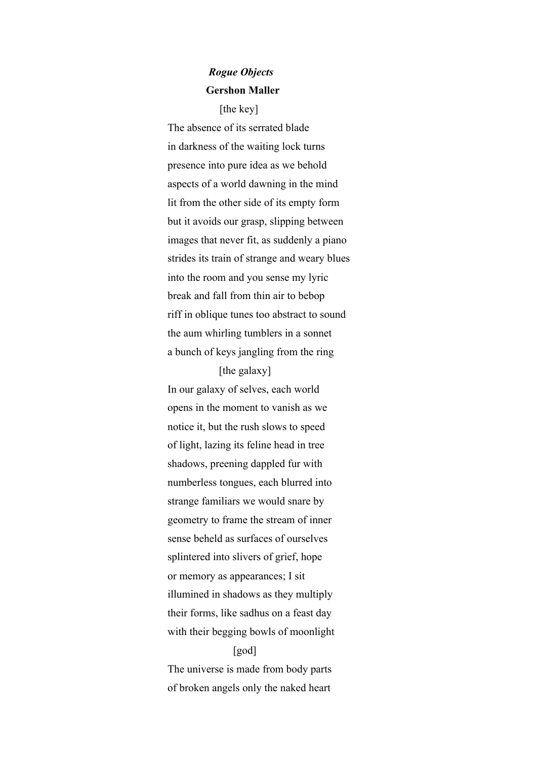## *Rogue Objects*  **Gershon Maller**

[the key]

The absence of its serrated blade in darkness of the waiting lock turns presence into pure idea as we behold aspects of a world dawning in the mind lit from the other side of its empty form but it avoids our grasp, slipping between images that never fit, as suddenly a piano strides its train of strange and weary blues into the room and you sense my lyric break and fall from thin air to bebop riff in oblique tunes too abstract to sound the aum whirling tumblers in a sonnet a bunch of keys jangling from the ring

[the galaxy] In our galaxy of selves, each world opens in the moment to vanish as we notice it, but the rush slows to speed of light, lazing its feline head in tree shadows, preening dappled fur with numberless tongues, each blurred into strange familiars we would snare by geometry to frame the stream of inner sense beheld as surfaces of ourselves splintered into slivers of grief, hope or memory as appearances; I sit illumined in shadows as they multiply their forms, like sadhus on a feast day with their begging bowls of moonlight

## [god]

The universe is made from body parts of broken angels only the naked heart